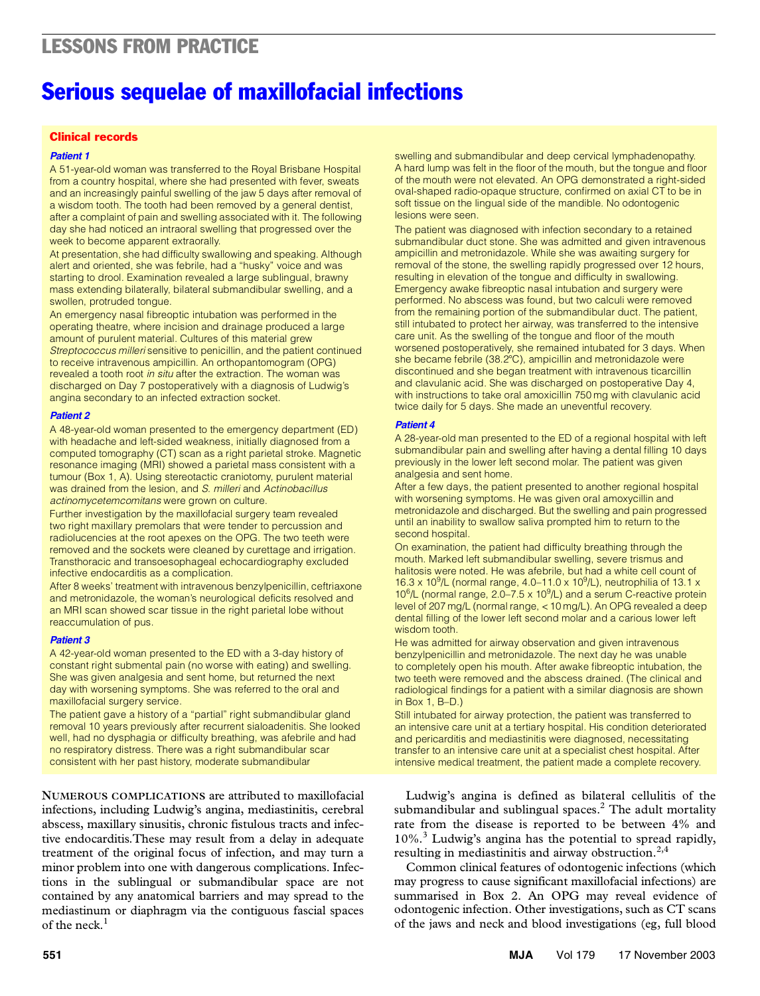# LESSONS FROM PRACTICE LESSONS FROM PRACTICE

# Serious sequelae of maxillofacial infections

## Clinical records

#### *Patient 1*

week to become apparent extraorally. A 51-year-old woman was transferred to the Royal Brisbane Hospital from a country hospital, where she had presented with fever, sweats and an increasingly painful swelling of the jaw 5 days after removal of a wisdom tooth. The tooth had been removed by a general dentist, after a complaint of pain and swelling associated with it. The following day she had noticed an intraoral swelling that progressed over the

At presentation, she had difficulty swallowing and speaking. Altho<br>alert and oriented, she was febrile, had a "husky" voice and was alert and chemed, she was replic, had a "hasky" voice and was<br>starting to drool. Examination revealed a large sublingual, brawny starting to droof. Examination revealed a large subilingual, brawny<br>mass extending bilaterally, bilateral submandibular swelling, and a At presentation, she had difficulty swallowing and speaking. Although swollen, protruded tongue.

An emergency nasal fibreoptic intubation was performed in the operating theatre, where incision and drainage produced a large amount of purulent material. Cultures of this material grew *Streptococcus milleri* sensitive to penicillin, and the patient continued to receive intravenous ampicillin. An orthopantomogram (OPG) revealed a tooth root *in situ* after the extraction. The woman was discharged on Day 7 postoperatively with a diagnosis of Ludwig's angina secondary to an infected extraction socket.

#### *Patient 2*

A 48-year-old woman presented to the emergency department (ED) with headache and left-sided weakness, initially diagnosed from a computed tomography (CT) scan as a right parietal stroke. Magnetic resonance imaging (MRI) showed a parietal mass consistent with a tumour (Box 1, A). Using stereotactic craniotomy, purulent material was drained from the lesion, and *S. milleri* and *Actinobacillus actinomycetemcomitans* were grown on culture.

Further investigation by the maxillofacial surgery team revealed two right maxillary premolars that were tender to percussion and radiolucencies at the root apexes on the OPG. The two teeth were removed and the sockets were cleaned by curettage and irrigation. Transthoracic and transoesophageal echocardiography excluded infective endocarditis as a complication.

After 8 weeks' treatment with intravenous benzylpenicillin, ceftriaxone and metronidazole, the woman's neurological deficits resolved and an MRI scan showed scar tissue in the right parietal lobe without reaccumulation of pus.

#### *Patient 3*

A 42-year-old woman presented to the ED with a 3-day history of constant right submental pain (no worse with eating) and swelling. She was given analgesia and sent home, but returned the next day with worsening symptoms. She was referred to the oral and maxillofacial surgery service.

The patient gave a history of a "partial" right submandibular gland removal 10 years previously after recurrent sialoadenitis. She looked well, had no dysphagia or difficulty breathing, was afebrile and had no respiratory distress. There was a right submandibular scar consistent with her past history, moderate submandibular

**NUMEROUS COMPLICATIONS** are attributed to maxillofacial infections, including Ludwig's angina, mediastinitis, cerebral abscess, maxillary sinusitis, chronic fistulous tracts and infective endocarditis.These may result from a delay in adequate treatment of the original focus of infection, and may turn a minor problem into one with dangerous complications. Infections in the sublingual or submandibular space are not contained by any anatomical barriers and may spread to the mediastinum or diaphragm via the contiguous fascial spaces of the neck. $<sup>1</sup>$ </sup>

swelling and submandibular and deep cervical lymphadenopathy. A hard lump was felt in the floor of the mouth, but the tongue and floor of the mouth were not elevated. An OPG demonstrated a right-sided oval-shaped radio-opaque structure, confirmed on axial CT to be in soft tissue on the lingual side of the mandible. No odontogenic lesions were seen.

The patient was diagnosed with infection secondary to a retained submandibular duct stone. She was admitted and given intravenous ampicillin and metronidazole. While she was awaiting surgery for removal of the stone, the swelling rapidly progressed over 12 hours, resulting in elevation of the tongue and difficulty in swallowing. Emergency awake fibreoptic nasal intubation and surgery were performed. No abscess was found, but two calculi were removed from the remaining portion of the submandibular duct. The patient, still intubated to protect her airway, was transferred to the intensive care unit. As the swelling of the tongue and floor of the mouth worsened postoperatively, she remained intubated for 3 days. When she became febrile (38.2°C), ampicillin and metronidazole were discontinued and she began treatment with intravenous ticarcillin and clavulanic acid. She was discharged on postoperative Day 4, with instructions to take oral amoxicillin 750 mg with clavulanic acid twice daily for 5 days. She made an uneventful recovery.

#### *Patient 4*

A 28-year-old man presented to the ED of a regional hospital with left submandibular pain and swelling after having a dental filling 10 days previously in the lower left second molar. The patient was given analgesia and sent home.

After a few days, the patient presented to another regional hospital with worsening symptoms. He was given oral amoxycillin and metronidazole and discharged. But the swelling and pain progressed until an inability to swallow saliva prompted him to return to the second hospital.

On examination, the patient had difficulty breathing through the mouth. Marked left submandibular swelling, severe trismus and halitosis were noted. He was afebrile, but had a white cell count of 16.3 x 10<sup>9</sup>/L (normal range, 4.0–11.0 x 10<sup>9</sup>/L), neutrophilia of 13.1 x  $10^6$ /L (normal range, 2.0–7.5 x  $10^9$ /L) and a serum C-reactive protein level of 207 mg/L (normal range, < 10 mg/L). An OPG revealed a deep dental filling of the lower left second molar and a carious lower left wisdom tooth.

He was admitted for airway observation and given intravenous benzylpenicillin and metronidazole. The next day he was unable to completely open his mouth. After awake fibreoptic intubation, the two teeth were removed and the abscess drained. (The clinical and radiological findings for a patient with a similar diagnosis are shown in Box 1, B–D.)

Still intubated for airway protection, the patient was transferred to an intensive care unit at a tertiary hospital. His condition deteriorated and pericarditis and mediastinitis were diagnosed, necessitating transfer to an intensive care unit at a specialist chest hospital. After intensive medical treatment, the patient made a complete recovery.

Ludwig's angina is defined as bilateral cellulitis of the submandibular and sublingual spaces. $^2$  The adult mortality rate from the disease is reported to be between 4% and 10%.<sup>3</sup> Ludwig's angina has the potential to spread rapidly, resulting in mediastinitis and airway obstruction. $2,4$ 

Common clinical features of odontogenic infections (which may progress to cause significant maxillofacial infections) are summarised in Box 2. An OPG may reveal evidence of odontogenic infection. Other investigations, such as CT scans of the jaws and neck and blood investigations (eg, full blood